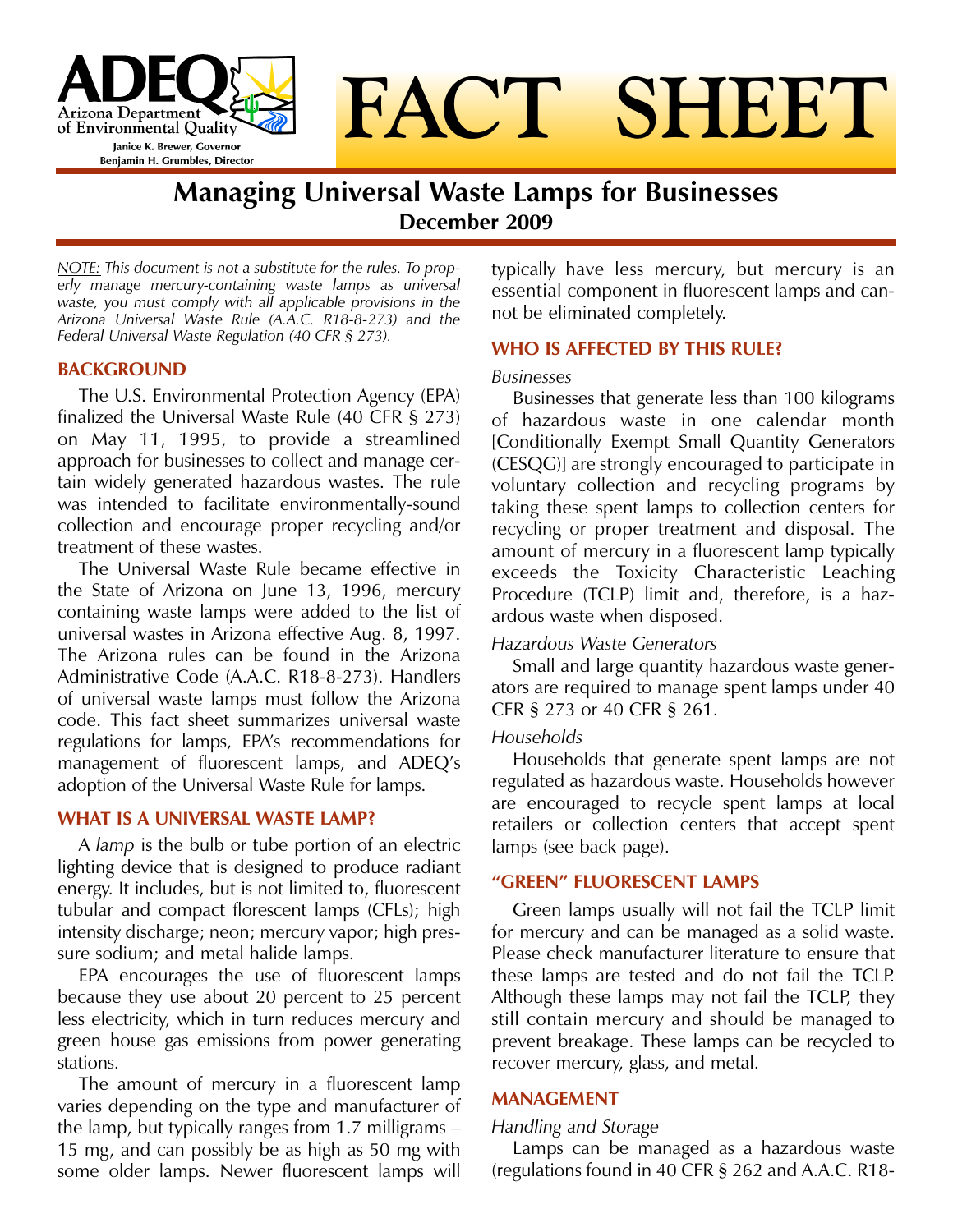

# **FACT SHEET**

# **Managing Universal Waste Lamps for Businesses December 2009**

*NOTE: This document is not a substitute for the rules. To properly manage mercury-containing waste lamps as universal waste, you must comply with all applicable provisions in the Arizona Universal Waste Rule (A.A.C. R18-8-273) and the Federal Universal Waste Regulation (40 CFR § 273).*

#### **BACKGROUND**

The U.S. Environmental Protection Agency (EPA) finalized the Universal Waste Rule (40 CFR § 273) on May 11, 1995, to provide a streamlined approach for businesses to collect and manage certain widely generated hazardous wastes. The rule was intended to facilitate environmentally-sound collection and encourage proper recycling and/or treatment of these wastes.

The Universal Waste Rule became effective in the State of Arizona on June 13, 1996, mercury containing waste lamps were added to the list of universal wastes in Arizona effective Aug. 8, 1997. The Arizona rules can be found in the Arizona Administrative Code (A.A.C. R18-8-273). Handlers of universal waste lamps must follow the Arizona code. This fact sheet summarizes universal waste regulations for lamps, EPA's recommendations for management of fluorescent lamps, and ADEQ's adoption of the Universal Waste Rule for lamps.

#### **WHAT IS A UNIVERSAL WASTE LAMP?**

A *lamp* is the bulb or tube portion of an electric lighting device that is designed to produce radiant energy. It includes, but is not limited to, fluorescent tubular and compact florescent lamps (CFLs); high intensity discharge; neon; mercury vapor; high pressure sodium; and metal halide lamps.

EPA encourages the use of fluorescent lamps because they use about 20 percent to 25 percent less electricity, which in turn reduces mercury and green house gas emissions from power generating stations.

The amount of mercury in a fluorescent lamp varies depending on the type and manufacturer of the lamp, but typically ranges from 1.7 milligrams – 15 mg, and can possibly be as high as 50 mg with some older lamps. Newer fluorescent lamps will typically have less mercury, but mercury is an essential component in fluorescent lamps and cannot be eliminated completely.

#### **WHO IS AFFECTED BY THIS RULE?**

#### *Businesses*

Businesses that generate less than 100 kilograms of hazardous waste in one calendar month [Conditionally Exempt Small Quantity Generators (CESQG)] are strongly encouraged to participate in voluntary collection and recycling programs by taking these spent lamps to collection centers for recycling or proper treatment and disposal. The amount of mercury in a fluorescent lamp typically exceeds the Toxicity Characteristic Leaching Procedure (TCLP) limit and, therefore, is a hazardous waste when disposed.

#### *Hazardous Waste Generators*

Small and large quantity hazardous waste generators are required to manage spent lamps under 40 CFR § 273 or 40 CFR § 261.

#### *Households*

Households that generate spent lamps are not regulated as hazardous waste. Households however are encouraged to recycle spent lamps at local retailers or collection centers that accept spent lamps (see back page).

#### **"GREEN" FLUORESCENT LAMPS**

Green lamps usually will not fail the TCLP limit for mercury and can be managed as a solid waste. Please check manufacturer literature to ensure that these lamps are tested and do not fail the TCLP. Although these lamps may not fail the TCLP, they still contain mercury and should be managed to prevent breakage. These lamps can be recycled to recover mercury, glass, and metal.

#### **MANAGEMENT**

#### *Handling and Storage*

Lamps can be managed as a hazardous waste (regulations found in 40 CFR § 262 and A.A.C. R18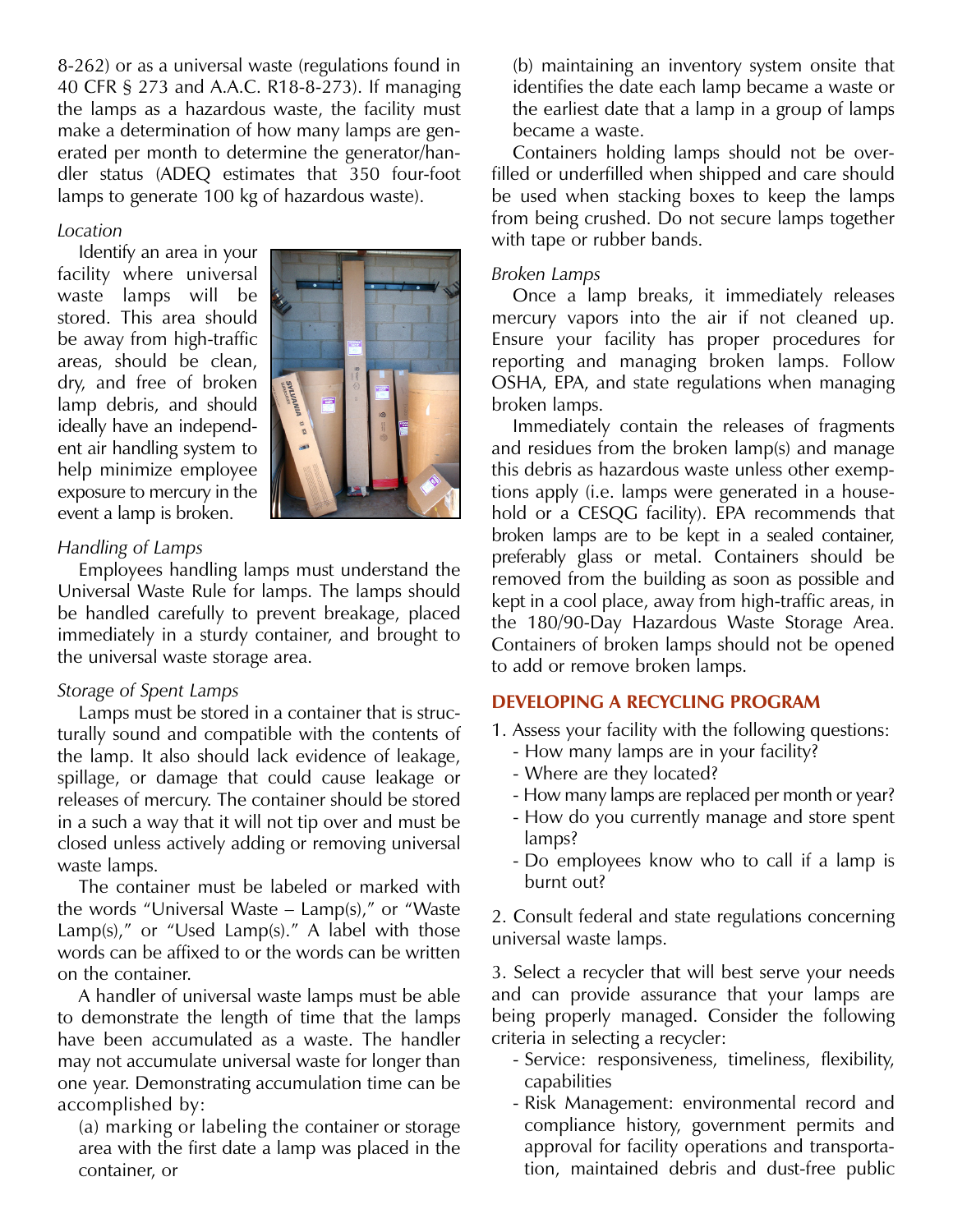8-262) or as a universal waste (regulations found in 40 CFR § 273 and A.A.C. R18-8-273). If managing the lamps as a hazardous waste, the facility must make a determination of how many lamps are generated per month to determine the generator/handler status (ADEQ estimates that 350 four-foot lamps to generate 100 kg of hazardous waste).

# *Location*

Identify an area in your facility where universal waste lamps will be stored. This area should be away from high-traffic areas, should be clean, dry, and free of broken lamp debris, and should ideally have an independent air handling system to help minimize employee exposure to mercury in the event a lamp is broken.



# *Handling of Lamps*

Employees handling lamps must understand the Universal Waste Rule for lamps. The lamps should be handled carefully to prevent breakage, placed immediately in a sturdy container, and brought to the universal waste storage area.

# *Storage of Spent Lamps*

Lamps must be stored in a container that is structurally sound and compatible with the contents of the lamp. It also should lack evidence of leakage, spillage, or damage that could cause leakage or releases of mercury. The container should be stored in a such a way that it will not tip over and must be closed unless actively adding or removing universal waste lamps.

The container must be labeled or marked with the words "Universal Waste – Lamp(s)," or "Waste  $Lamp(s)$ ," or "Used  $Lamp(s)$ ." A label with those words can be affixed to or the words can be written on the container.

A handler of universal waste lamps must be able to demonstrate the length of time that the lamps have been accumulated as a waste. The handler may not accumulate universal waste for longer than one year. Demonstrating accumulation time can be accomplished by:

(a) marking or labeling the container or storage area with the first date a lamp was placed in the container, or

(b) maintaining an inventory system onsite that identifies the date each lamp became a waste or the earliest date that a lamp in a group of lamps became a waste.

Containers holding lamps should not be overfilled or underfilled when shipped and care should be used when stacking boxes to keep the lamps from being crushed. Do not secure lamps together with tape or rubber bands.

# *Broken Lamps*

Once a lamp breaks, it immediately releases mercury vapors into the air if not cleaned up. Ensure your facility has proper procedures for reporting and managing broken lamps. Follow OSHA, EPA, and state regulations when managing broken lamps.

Immediately contain the releases of fragments and residues from the broken lamp(s) and manage this debris as hazardous waste unless other exemptions apply (i.e. lamps were generated in a household or a CESQG facility). EPA recommends that broken lamps are to be kept in a sealed container, preferably glass or metal. Containers should be removed from the building as soon as possible and kept in a cool place, away from high-traffic areas, in the 180/90-Day Hazardous Waste Storage Area. Containers of broken lamps should not be opened to add or remove broken lamps.

# **DEVELOPING A RECYCLING PROGRAM**

- 1. Assess your facility with the following questions:
	- How many lamps are in your facility?
	- Where are they located?
	- How many lamps are replaced per month or year?
	- How do you currently manage and store spent lamps?
	- Do employees know who to call if a lamp is burnt out?

2. Consult federal and state regulations concerning universal waste lamps.

3. Select a recycler that will best serve your needs and can provide assurance that your lamps are being properly managed. Consider the following criteria in selecting a recycler:

- Service: responsiveness, timeliness, flexibility, capabilities
- Risk Management: environmental record and compliance history, government permits and approval for facility operations and transportation, maintained debris and dust-free public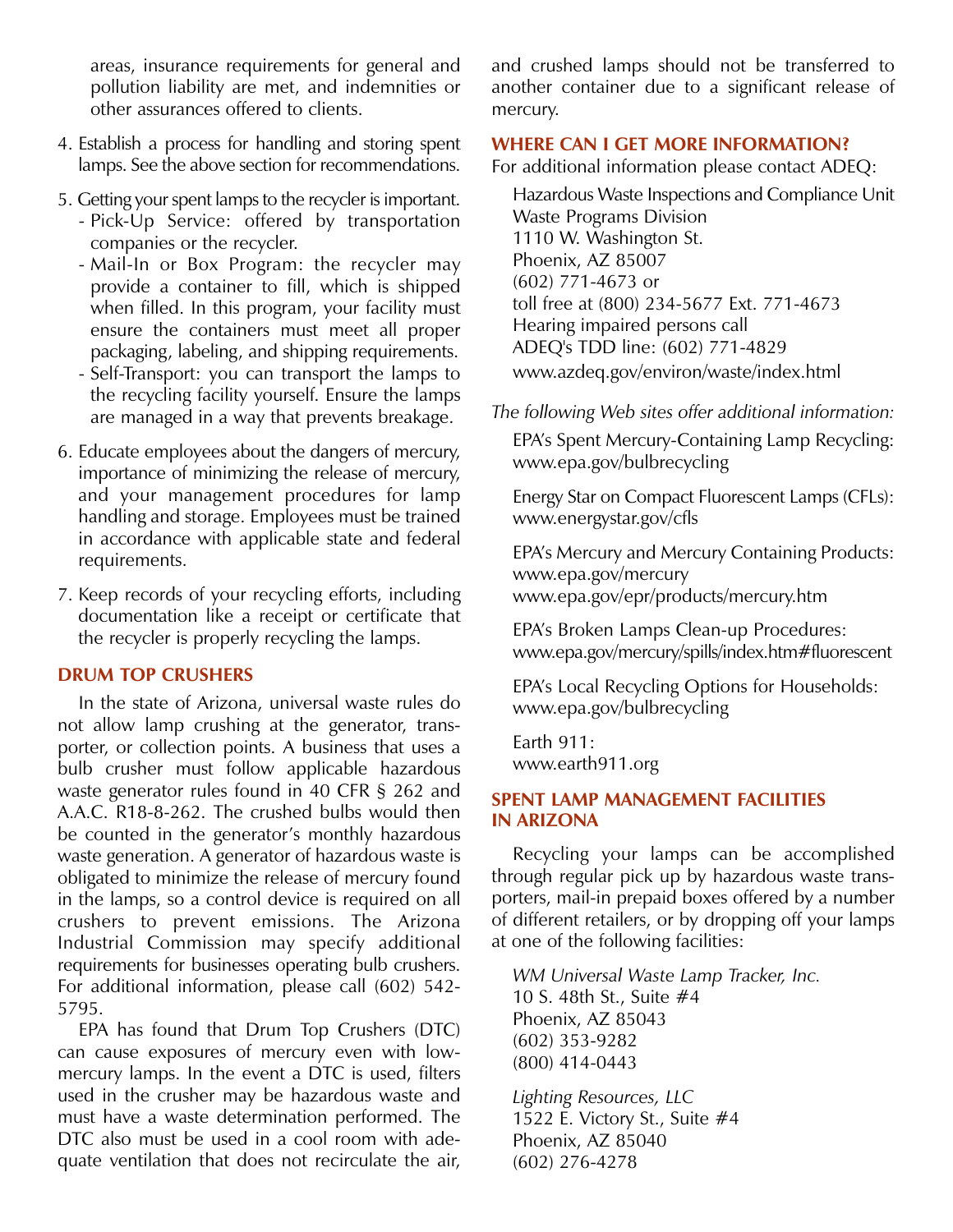areas, insurance requirements for general and pollution liability are met, and indemnities or other assurances offered to clients.

- 4. Establish a process for handling and storing spent lamps. See the above section for recommendations.
- 5. Getting your spent lamps to the recycler is important. - Pick-Up Service: offered by transportation companies or the recycler.
	- Mail-In or Box Program: the recycler may provide a container to fill, which is shipped when filled. In this program, your facility must ensure the containers must meet all proper packaging, labeling, and shipping requirements.
	- Self-Transport: you can transport the lamps to the recycling facility yourself. Ensure the lamps are managed in a way that prevents breakage.
- 6. Educate employees about the dangers of mercury, importance of minimizing the release of mercury, and your management procedures for lamp handling and storage. Employees must be trained in accordance with applicable state and federal requirements.
- 7. Keep records of your recycling efforts, including documentation like a receipt or certificate that the recycler is properly recycling the lamps.

#### **DRUM TOP CRUSHERS**

In the state of Arizona, universal waste rules do not allow lamp crushing at the generator, transporter, or collection points. A business that uses a bulb crusher must follow applicable hazardous waste generator rules found in 40 CFR § 262 and A.A.C. R18-8-262. The crushed bulbs would then be counted in the generator's monthly hazardous waste generation. A generator of hazardous waste is obligated to minimize the release of mercury found in the lamps, so a control device is required on all crushers to prevent emissions. The Arizona Industrial Commission may specify additional requirements for businesses operating bulb crushers. For additional information, please call (602) 542- 5795.

EPA has found that Drum Top Crushers (DTC) can cause exposures of mercury even with lowmercury lamps. In the event a DTC is used, filters used in the crusher may be hazardous waste and must have a waste determination performed. The DTC also must be used in a cool room with adequate ventilation that does not recirculate the air, and crushed lamps should not be transferred to another container due to a significant release of mercury.

#### **WHERE CAN I GET MORE INFORMATION?**

For additional information please contact ADEQ:

Hazardous Waste Inspections and Compliance Unit Waste Programs Division 1110 W. Washington St. Phoenix, AZ 85007 (602) 771-4673 or toll free at (800) 234-5677 Ext. 771-4673 Hearing impaired persons call ADEQ's TDD line: (602) 771-4829 www.azdeq.gov/environ/waste/index.html

*The following Web sites offer additional information:* 

EPA's Spent Mercury-Containing Lamp Recycling: www.epa.gov/bulbrecycling

Energy Star on Compact Fluorescent Lamps (CFLs): www.energystar.gov/cfls

EPA's Mercury and Mercury Containing Products: www.epa.gov/mercury www.epa.gov/epr/products/mercury.htm

EPA's Broken Lamps Clean-up Procedures: www.epa.gov/mercury/spills/index.htm#fluorescent

EPA's Local Recycling Options for Households: www.epa.gov/bulbrecycling

Earth 911: www.earth911.org

### **SPENT LAMP MANAGEMENT FACILITIES IN ARIZONA**

Recycling your lamps can be accomplished through regular pick up by hazardous waste transporters, mail-in prepaid boxes offered by a number of different retailers, or by dropping off your lamps at one of the following facilities:

*WM Universal Waste Lamp Tracker, Inc.* 10 S. 48th St., Suite #4 Phoenix, AZ 85043 (602) 353-9282 (800) 414-0443

*Lighting Resources, LLC* 1522 E. Victory St., Suite #4 Phoenix, AZ 85040 (602) 276-4278